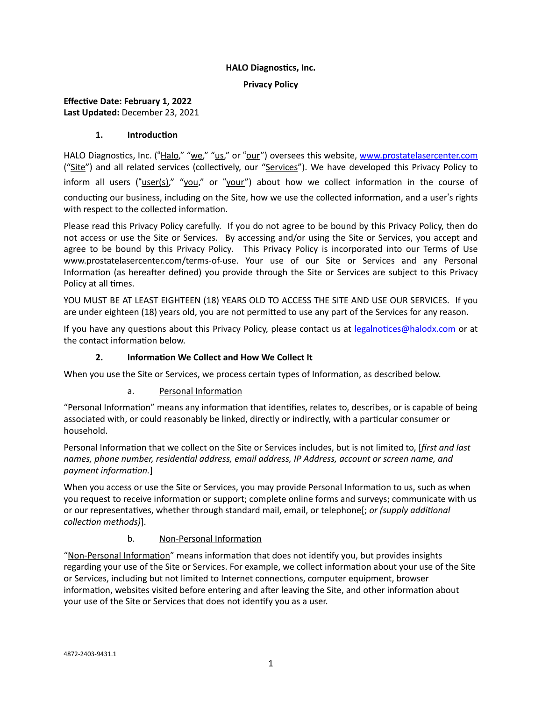#### **HALO Diagnostics, Inc.**

#### **Privacy Policy**

## **Effective Date: February 1, 2022 Last Updated:** December 23, 2021

#### **1. Introduction**

HALO Diagnostics, Inc. ("Halo," "we," "us," or "our") oversees this website, [www.prostatelasercenter.com](http://www.prostatelasercenter.com) ("Site") and all related services (collectively, our "Services"). We have developed this Privacy Policy to inform all users ("user(s)," "you," or "your") about how we collect information in the course of conducting our business, including on the Site, how we use the collected information, and a user's rights with respect to the collected information.

Please read this Privacy Policy carefully. If you do not agree to be bound by this Privacy Policy, then do not access or use the Site or Services. By accessing and/or using the Site or Services, you accept and agree to be bound by this Privacy Policy*.* This Privacy Policy is incorporated into our Terms of Use www.prostatelasercenter.com/terms-of-use. Your use of our Site or Services and any Personal Information (as hereafter defined) you provide through the Site or Services are subject to this Privacy Policy at all times.

YOU MUST BE AT LEAST EIGHTEEN (18) YEARS OLD TO ACCESS THE SITE AND USE OUR SERVICES. If you are under eighteen (18) years old, you are not permitted to use any part of the Services for any reason.

If you have any questions about this Privacy Policy, please contact us at [legalnotices@halodx.com](mailto:legalnotices@halodx.com) or at the contact information below.

#### **2. Information We Collect and How We Collect It**

When you use the Site or Services, we process certain types of Information, as described below.

#### a. Personal Information

"Personal Information" means any information that identifies, relates to, describes, or is capable of being associated with, or could reasonably be linked, directly or indirectly, with a particular consumer or household.

Personal Information that we collect on the Site or Services includes, but is not limited to, [*first and last names, phone number, residential address, email address, IP Address, account or screen name, and payment information.*]

When you access or use the Site or Services, you may provide Personal Information to us, such as when you request to receive information or support; complete online forms and surveys; communicate with us or our representatives, whether through standard mail, email, or telephone[; *or (supply additional collection methods)*].

#### b. Non-Personal Information

"Non-Personal Information" means information that does not identify you, but provides insights regarding your use of the Site or Services. For example, we collect information about your use of the Site or Services, including but not limited to Internet connections, computer equipment, browser information, websites visited before entering and after leaving the Site, and other information about your use of the Site or Services that does not identify you as a user.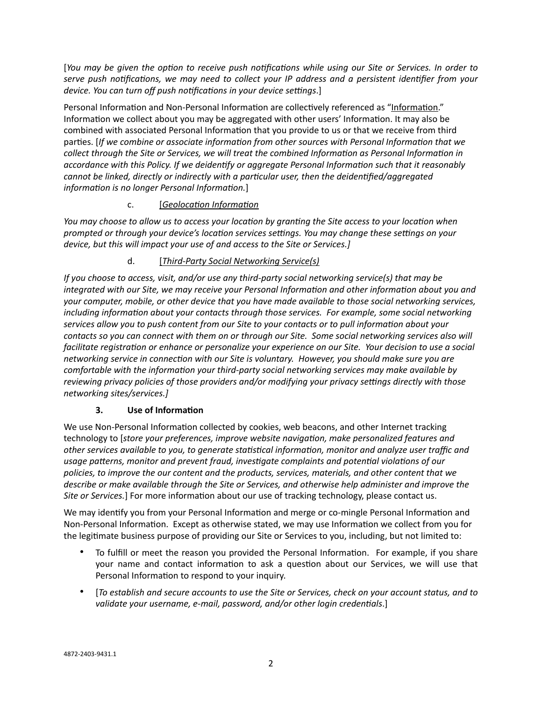[*You may be given the option to receive push notifications while using our Site or Services. In order to serve push notifications, we may need to collect your IP address and a persistent identifier from your device. You can turn off push notifications in your device settings*.]

Personal Information and Non-Personal Information are collectively referenced as "Information." Information we collect about you may be aggregated with other users' Information. It may also be combined with associated Personal Information that you provide to us or that we receive from third parties. [*If we combine or associate information from other sources with Personal Information that we collect through the Site or Services, we will treat the combined Information as Personal Information in accordance with this Policy. If we deidentify or aggregate Personal Information such that it reasonably cannot be linked, directly or indirectly with a particular user, then the deidentified/aggregated information is no longer Personal Information.*]

## c. [*Geolocation Information*

*You may choose to allow us to access your location by granting the Site access to your location when prompted or through your device's location services settings. You may change these settings on your device, but this will impact your use of and access to the Site or Services.]*

## d. [*Third-Party Social Networking Service(s)*

*If you choose to access, visit, and/or use any third-party social networking service(s) that may be integrated with our Site, we may receive your Personal Information and other information about you and your computer, mobile, or other device that you have made available to those social networking services, including information about your contacts through those services. For example, some social networking services allow you to push content from our Site to your contacts or to pull information about your contacts so you can connect with them on or through our Site. Some social networking services also will facilitate registration or enhance or personalize your experience on our Site. Your decision to use a social networking service in connection with our Site is voluntary. However, you should make sure you are comfortable with the information your third-party social networking services may make available by reviewing privacy policies of those providers and/or modifying your privacy settings directly with those networking sites/services.]*

#### **3. Use of Information**

We use Non-Personal Information collected by cookies, web beacons, and other Internet tracking technology to [*store your preferences, improve website navigation, make personalized features and other services available to you, to generate statistical information, monitor and analyze user traffic and usage patterns, monitor and prevent fraud, investigate complaints and potential violations of our policies, to improve the our content and the products, services, materials, and other content that we describe or make available through the Site or Services, and otherwise help administer and improve the Site or Services.*] For more information about our use of tracking technology, please contact us.

We may identify you from your Personal Information and merge or co-mingle Personal Information and Non-Personal Information. Except as otherwise stated, we may use Information we collect from you for the legitimate business purpose of providing our Site or Services to you, including, but not limited to:

- To fulfill or meet the reason you provided the Personal Information. For example, if you share your name and contact information to ask a question about our Services, we will use that Personal Information to respond to your inquiry.
- [*To establish and secure accounts to use the Site or Services, check on your account status, and to validate your username, e-mail, password, and/or other login credentials*.]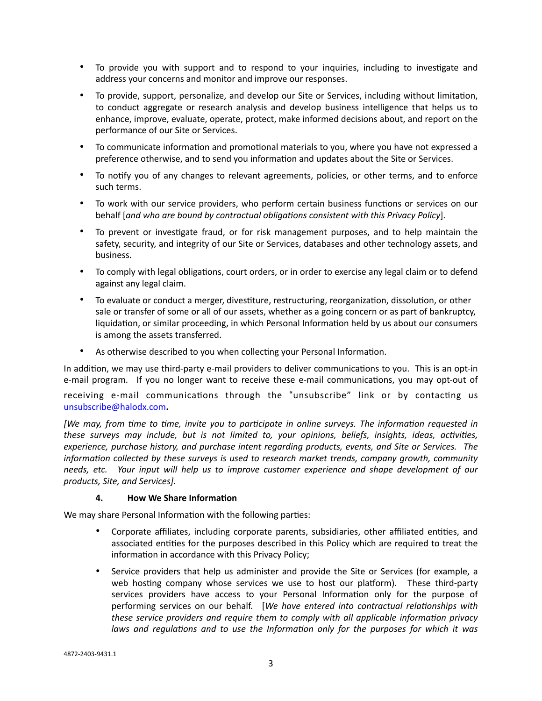- To provide you with support and to respond to your inquiries, including to investigate and address your concerns and monitor and improve our responses.
- To provide, support, personalize, and develop our Site or Services, including without limitation, to conduct aggregate or research analysis and develop business intelligence that helps us to enhance, improve, evaluate, operate, protect, make informed decisions about, and report on the performance of our Site or Services.
- To communicate information and promotional materials to you, where you have not expressed a preference otherwise, and to send you information and updates about the Site or Services.
- To notify you of any changes to relevant agreements, policies, or other terms, and to enforce such terms.
- To work with our service providers, who perform certain business functions or services on our behalf [*and who are bound by contractual obligations consistent with this Privacy Policy*].
- To prevent or investigate fraud, or for risk management purposes, and to help maintain the safety, security, and integrity of our Site or Services, databases and other technology assets, and business.
- To comply with legal obligations, court orders, or in order to exercise any legal claim or to defend against any legal claim.
- To evaluate or conduct a merger, divestiture, restructuring, reorganization, dissolution, or other sale or transfer of some or all of our assets, whether as a going concern or as part of bankruptcy, liquidation, or similar proceeding, in which Personal Information held by us about our consumers is among the assets transferred.
- As otherwise described to you when collecting your Personal Information.

In addition, we may use third-party e-mail providers to deliver communications to you. This is an opt-in e-mail program. If you no longer want to receive these e-mail communications, you may opt-out of

receiving e-mail communications through the "unsubscribe" link or by contacting us [unsubscribe@halodx.com](mailto:unsubscribe@halodx.com)**.**

*[We may, from time to time, invite you to participate in online surveys. The information requested in these surveys may include, but is not limited to, your opinions, beliefs, insights, ideas, activities, experience, purchase history, and purchase intent regarding products, events, and Site or Services. The information collected by these surveys is used to research market trends, company growth, community needs, etc. Your input will help us to improve customer experience and shape development of our products, Site, and Services]*.

#### **4. How We Share Information**

We may share Personal Information with the following parties:

- Corporate affiliates, including corporate parents, subsidiaries, other affiliated entities, and associated entities for the purposes described in this Policy which are required to treat the information in accordance with this Privacy Policy;
- Service providers that help us administer and provide the Site or Services (for example, a web hosting company whose services we use to host our platform). These third-party services providers have access to your Personal Information only for the purpose of performing services on our behalf. [*We have entered into contractual relationships with these service providers and require them to comply with all applicable information privacy laws and regulations and to use the Information only for the purposes for which it was*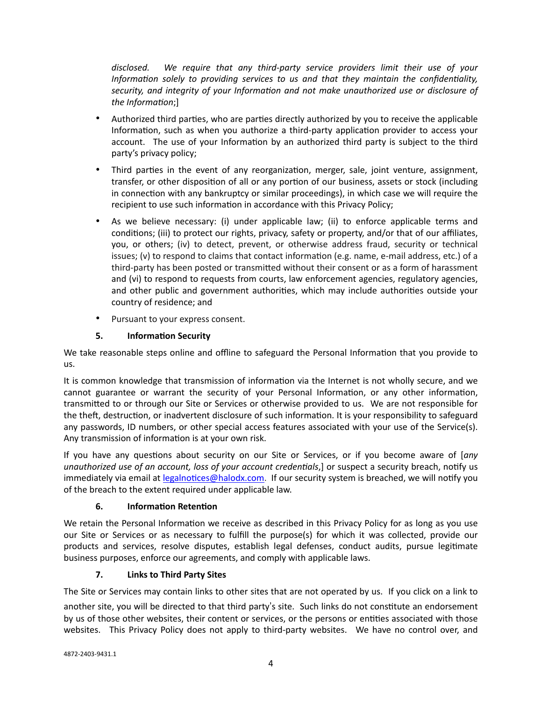*disclosed. We require that any third-party service providers limit their use of your Information solely to providing services to us and that they maintain the confidentiality, security, and integrity of your Information and not make unauthorized use or disclosure of the Information*;]

- Authorized third parties, who are parties directly authorized by you to receive the applicable Information, such as when you authorize a third-party application provider to access your account. The use of your Information by an authorized third party is subject to the third party's privacy policy;
- Third parties in the event of any reorganization, merger, sale, joint venture, assignment, transfer, or other disposition of all or any portion of our business, assets or stock (including in connection with any bankruptcy or similar proceedings), in which case we will require the recipient to use such information in accordance with this Privacy Policy;
- As we believe necessary: (i) under applicable law; (ii) to enforce applicable terms and conditions; (iii) to protect our rights, privacy, safety or property, and/or that of our affiliates, you, or others; (iv) to detect, prevent, or otherwise address fraud, security or technical issues; (v) to respond to claims that contact information (e.g. name, e-mail address, etc.) of a third-party has been posted or transmitted without their consent or as a form of harassment and (vi) to respond to requests from courts, law enforcement agencies, regulatory agencies, and other public and government authorities, which may include authorities outside your country of residence; and
- Pursuant to your express consent.

## **5. Information Security**

We take reasonable steps online and offline to safeguard the Personal Information that you provide to us.

It is common knowledge that transmission of information via the Internet is not wholly secure, and we cannot guarantee or warrant the security of your Personal Information, or any other information, transmitted to or through our Site or Services or otherwise provided to us. We are not responsible for the theft, destruction, or inadvertent disclosure of such information. It is your responsibility to safeguard any passwords, ID numbers, or other special access features associated with your use of the Service(s). Any transmission of information is at your own risk.

If you have any questions about security on our Site or Services, or if you become aware of [*any unauthorized use of an account, loss of your account credentials*,] or suspect a security breach, notify us immediately via email at [legalnotices@halodx.com.](mailto:legalnotices@halodx.com) If our security system is breached, we will notify you of the breach to the extent required under applicable law.

# **6. Information Retention**

We retain the Personal Information we receive as described in this Privacy Policy for as long as you use our Site or Services or as necessary to fulfill the purpose(s) for which it was collected, provide our products and services, resolve disputes, establish legal defenses, conduct audits, pursue legitimate business purposes, enforce our agreements, and comply with applicable laws.

# **7. Links to Third Party Sites**

The Site or Services may contain links to other sites that are not operated by us. If you click on a link to

another site, you will be directed to that third party"s site. Such links do not constitute an endorsement by us of those other websites, their content or services, or the persons or entities associated with those websites. This Privacy Policy does not apply to third-party websites. We have no control over, and